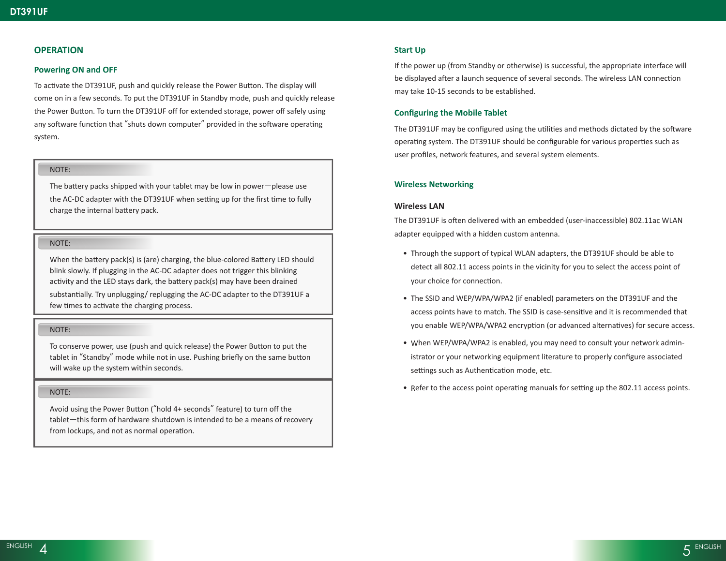# **OPERATION**

## **Powering ON and OFF**

To activate the DT391UF, push and quickly release the Power Button. The display will come on in a few seconds. To put the DT391UF in Standby mode, push and quickly release the Power Button. To turn the DT391UF off for extended storage, power off safely using any software function that "shuts down computer" provided in the software operating system.

# NOTE:

The battery packs shipped with your tablet may be low in power—please use the AC-DC adapter with the DT391UF when setting up for the first time to fully charge the internal battery pack.

#### NOTE:

When the battery pack(s) is (are) charging, the blue-colored Battery LED should blink slowly. If plugging in the AC-DC adapter does not trigger this blinking activity and the LED stays dark, the battery pack(s) may have been drained substantially. Try unplugging/ replugging the AC-DC adapter to the DT391UF a few times to activate the charging process.

#### NOTE:

To conserve power, use (push and quick release) the Power Button to put the tablet in "Standby" mode while not in use. Pushing briefly on the same button will wake up the system within seconds.

## NOTE:

Avoid using the Power Button ("hold 4+ seconds" feature) to turn off the tablet—this form of hardware shutdown is intended to be a means of recovery from lockups, and not as normal operation.

# **Start Up**

If the power up (from Standby or otherwise) is successful, the appropriate interface will be displayed after a launch sequence of several seconds. The wireless LAN connection may take 10-15 seconds to be established.

## **Configuring the Mobile Tablet**

The DT391UF may be configured using the utilities and methods dictated by the software operating system. The DT391UF should be configurable for various properties such as user profiles, network features, and several system elements.

## **Wireless Networking**

#### **Wireless LAN**

The DT391UF is often delivered with an embedded (user-inaccessible) 802.11ac WLAN adapter equipped with a hidden custom antenna.

- Through the support of typical WLAN adapters, the DT391UF should be able to detect all 802.11 access points in the vicinity for you to select the access point of your choice for connection.
- The SSID and WEP/WPA/WPA2 (if enabled) parameters on the DT391UF and the access points have to match. The SSID is case-sensitive and it is recommended that you enable WEP/WPA/WPA2 encryption (or advanced alternatives) for secure access.
- When WEP/WPA/WPA2 is enabled, you may need to consult your network administrator or your networking equipment literature to properly configure associated settings such as Authentication mode, etc.
- Refer to the access point operating manuals for setting up the 802.11 access points.